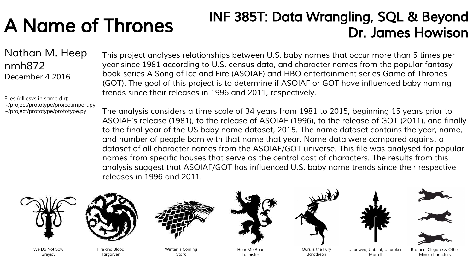# A Name of Thrones

## INF 385T: Data Wrangling, SQL & Beyond Dr. James Howison

Nathan M. Heep nmh872 December 4 2016

Files (all csvs in same dir): ~/project/prototype/projectimport.py ~/project/prototype/prototype.py

This project analyses relationships between U.S. baby names that occur more than 5 times per year since 1981 according to U.S. census data, and character names from the popular fantasy book series A Song of Ice and Fire (ASOIAF) and HBO entertainment series Game of Thrones (GOT). The goal of this project is to determine if ASOIAF or GOT have influenced baby naming trends since their releases in 1996 and 2011, respectively.

The analysis considers a time scale of 34 years from 1981 to 2015, beginning 15 years prior to ASOIAF's release (1981), to the release of ASOIAF (1996), to the release of GOT (2011), and finally to the final year of the US baby name dataset, 2015. The name dataset contains the year, name, and number of people born with that name that year. Name data were compared against a dataset of all character names from the ASOIAF/GOT universe. This file was analysed for popular names from specific houses that serve as the central cast of characters. The results from this analysis suggest that ASOIAF/GOT has influenced U.S. baby name trends since their respective releases in 1996 and 2011.



We Do Not Sow Greyjoy



Fire and Blood Taraarven



Winter is Coming Stark



Hear Me Roar Lannister



Ours is the Fury Baratheon



Martell







Brothers Clegane & Other Minor characters Unbowed, Unbent, Unbroken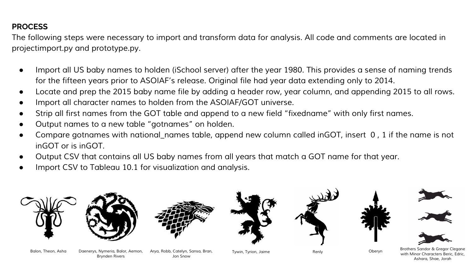## **PROCESS**

The following steps were necessary to import and transform data for analysis. All code and comments are located in projectimport.py and prototype.py.

- Import all US baby names to holden (iSchool server) after the year 1980. This provides a sense of naming trends for the fifteen years prior to ASOIAF's release. Original file had year data extending only to 2014.
- Locate and prep the 2015 baby name file by adding a header row, year column, and appending 2015 to all rows.
- Import all character names to holden from the ASOIAF/GOT universe.
- Strip all first names from the GOT table and append to a new field "fixedname" with only first names.
- Output names to a new table "gotnames" on holden.
- Compare gotnames with national\_names table, append new column called inGOT, insert 0 , 1 if the name is not inGOT or is inGOT.
- Output CSV that contains all US baby names from all years that match a GOT name for that year.

Arya, Robb, Catelyn, Sansa, Bran, Tywin, Tyrion, Jaime

Jon Snow

Import CSV to Tableau 10.1 for visualization and analysis.

Balon, Theon, Asha Daenerys, Nymeria, Balor, Aemon,

Brynden Rivers



Renly Brothers Sandor & Gregor Clegane with Minor Characters Beric, Edric, Ashara, Shae, Jorah

Oberyn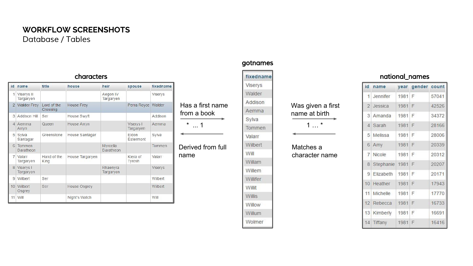## Database / Tables **WORKFLOW SCREENSHOTS**

#### characters

| id             | name                       | title                   | house           | heir                  | spouse                    | fixedname      |
|----------------|----------------------------|-------------------------|-----------------|-----------------------|---------------------------|----------------|
| 1              | Viserys II<br>Targaryen    |                         |                 | Aegon IV<br>Targaryen |                           | <b>Viserys</b> |
| $\overline{2}$ | <b>Walder Frey</b>         | Lord of the<br>Crossing | House Frey      |                       | Perra Royce               | Walder         |
| 3              | Addison Hill               | Ser                     | House Swyft     |                       |                           | Addison        |
| $\Delta$       | Aemma<br>Arryn             | Queen                   | House Arryn     |                       | Viserys I<br>Targaryen    | Aemma          |
| 5              | Sylva<br>Santagar          | Greenstone              | House Santagar  |                       | <b>Fldon</b><br>Estermont | Sylva          |
| 6              | Tommen<br><b>Baratheon</b> |                         |                 | Myrcella<br>Baratheon |                           | Tommen         |
| $\overline{7}$ | Valarr<br>Targaryen        | Hand of the<br>King     | House Targaryen |                       | Kiera of<br>Tyrosh        | Valarr         |
| 8              | Viserys I<br>Targaryen     |                         |                 | Rhaenyra<br>Targaryen |                           | <b>Viservs</b> |
| 9              | Wilbert                    | Ser                     |                 |                       |                           | Wilbert        |
| 10             | Wilbert<br>Osgrey          | Ser                     | House Osgrey    |                       |                           | Wilbert        |
| 11             | Will                       |                         | Night's Watch   |                       |                           | Will           |

#### gotnames

#### fixedname Vise Wal Ado Aen Syh  $*$  ... 1 1 1 1 1 1 1 1 1 1 1 1  $*$ Val Will Will Will

Has a first name from a book

Derived from full

name

| Viserys  |
|----------|
| Walder   |
| Addison  |
| Aemma    |
| Sylva    |
| Tommen   |
| Valarr   |
| Wilbert  |
| Will     |
| Willam   |
| Willem   |
| Willifer |
| Willit   |
| Willis   |
| Willow   |
| Willum   |
| Wolmer   |

#### Was given a first name at birth

Matches a character name

#### national\_names

| id             | name          | vear | gender count |       |
|----------------|---------------|------|--------------|-------|
| $\mathbf{1}$   | Jennifer      | 1981 | F            | 57041 |
|                | 2 Jessica     | 1981 | F            | 42526 |
|                | 3 Amanda      | 1981 | F            | 34372 |
|                | 4 Sarah       | 1981 | F            | 28166 |
| 5 <sup>1</sup> | Melissa       | 1981 | F            | 28006 |
| 6              | Amy           | 1981 | F            | 20339 |
| $\overline{7}$ | <b>Nicole</b> | 1981 | F            | 20312 |
| 8              | Stephanie     | 1981 | F            | 20207 |
| 9              | Elizabeth     | 1981 | F            | 20171 |
| 10             | Heather       | 1981 | F            | 17943 |
| 11             | Michelle      | 1981 | F            | 17770 |
| 12             | Rebecca       | 1981 | F            | 16733 |
| 13             | Kimberly      | 1981 | F            | 16691 |
| 14             | Tiffany       | 1981 | F            | 16416 |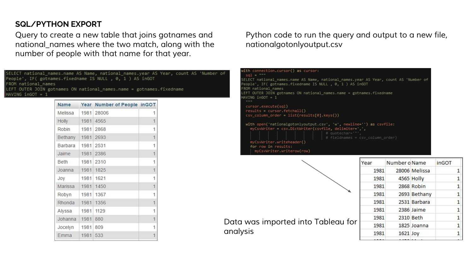## **SQL/PYTHON EXPORT**

Query to create a new table that joins gotnames and national\_names where the two match, along with the number of people with that name for that year.

| SELECT national names.name AS Name, national names.year AS Year, count AS 'Number of     |  |
|------------------------------------------------------------------------------------------|--|
| People', IF( gotnames.fixedname IS NULL , 0, 1 ) AS inGOT                                |  |
| FROM national names                                                                      |  |
| LEFT OUTER JOIN gotnames ON national names.name = gotnames.fixedname<br>HAVING inGOT = 1 |  |

| <b>Name</b> |      | Year Number of People inGOT |                |
|-------------|------|-----------------------------|----------------|
| Melissa     | 1981 | 28006                       | 1              |
| Holly       | 1981 | 4565                        | $\overline{1}$ |
| Robin       | 1981 | 2868                        | 1              |
| Bethany     | 1981 | 2693                        | 1              |
| Barbara     | 1981 | 2531                        | 1              |
| Jaime       | 1981 | 2386                        | $\overline{1}$ |
| <b>Beth</b> | 1981 | 2310                        | 1              |
| Joanna      | 1981 | 1825                        | $\mathbf{1}$   |
| Joy         | 1981 | 1621                        | 1              |
| Marissa     | 1981 | 1450                        | $\overline{1}$ |
| Robyn       | 1981 | 1367                        | 1              |
| Rhonda      | 1981 | 1356                        | $\overline{1}$ |
| Alyssa      | 1981 | 1129                        | 1              |
| Johanna     | 1981 | 880                         | $\overline{1}$ |
| Jocelyn     | 1981 | 809                         | 1              |
| Emma        | 1981 | 533                         | $\overline{1}$ |

## Python code to run the query and output to a new file, nationalgotonlyoutput.csv

| ith connection.cursor() as cursor:<br>$sal =$                                                                                                                                       |
|-------------------------------------------------------------------------------------------------------------------------------------------------------------------------------------|
| ELECT national_names.name AS Name, national_names.year AS Year, count AS 'Number of<br>eople', IF( gotnames,fixedname IS NULL , 0, 1 ) AS inGOT<br>ROM national names               |
| EFT OUTER JOIN gotnames ON national names.name = gotnames.fixedname<br>$AVING inGOT = 1$                                                                                            |
| cursor.execute(sql)<br>$results = cursor.fetchall()$<br>$\text{csv}_\text{column order} = \text{list}(\text{results}[0], \text{keys}())$                                            |
| with open('nationalgotonlyoutput.csv', 'w', newline='') as csvfile:<br>myCsvWriter = csv.DictWriter(csvfile, delimiter=',',<br># quotechar='"'.<br># fieldnames = csv column order) |
| myCsvWriter.writeheader()<br>for row in results:<br>myCsvWriter.writerow(row)                                                                                                       |

| Data was imported into Tableau for<br>analysis |
|------------------------------------------------|

| Year |      | Number o Name |               | inGOT |
|------|------|---------------|---------------|-------|
|      | 1981 |               | 28006 Melissa | 1     |
|      | 1981 |               | 4565 Holly    | 1     |
|      | 1981 |               | 2868 Robin    | 1     |
|      | 1981 |               | 2693 Bethany  | 1     |
|      | 1981 |               | 2531 Barbara  | 1     |
|      | 1981 |               | 2386 Jaime    | 1     |
|      | 1981 | 2310 Beth     |               | 1     |
|      | 1981 |               | 1825 Joanna   | 1     |
|      | 1981 | 1621 Joy      |               |       |
|      |      |               |               |       |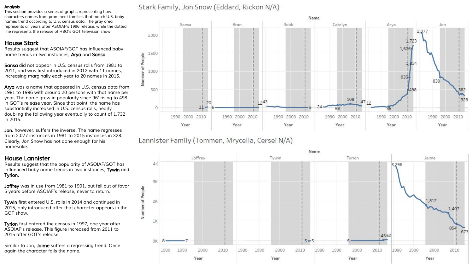#### Analysis

This section provides a series of graphs representing how characters names from prominent families that match U.S. baby names trend according to U.S. census data. The gray area represents all years after ASOIAF's 1996 release, while the dotted line represents the release of HBO's GOT television show.

#### House Stark

Results suggest that ASOIAF/GOT has influenced baby name trends in two instances, Arya and Sansa.

Sansa did not appear in U.S. census rolls from 1981 to 2011, and was first introduced in 2012 with 11 names, increasing marginally each year to 20 names in 2015.

Arva was a name that appeared in U.S. census data from 1981 to 1996 with around 20 persons with that name per year. The name grew in popularity since 96' rising to 498 in GOT's release year. Since that point, the name has substantially increased in U.S. census rolls, nearly doubling the following year eventually to count of 1,732 in 2015.

Jon, however, suffers the inverse. The name regresses from 2,077 instances in 1981 to 2015 instances in 328. Clearly, Jon Snow has not done enough for his namesake.

#### House Lannister

Results suggest that the popularity of ASOIAF/GOT has influenced baby name trends in two instances, Tywin and Tyrion.

Joffrey was in use from 1981 to 1991, but fell out of favor 5 years before ASOIAF's release, never to return.

Tywin first entered U.S. rolls in 2014 and continued in 2015, only introduced after that character appears in the GOT show.

Tyrion first entered the census in 1997, one year after ASOIAF's release. This figure increased from 2011 to 2015 after GOT's release.

Similar to Jon, Jaime suffers a regressing trend. Once again the character fails the name.

## Stark Family, Jon Snow (Eddard, Rickon N/A)



Lannister Family (Tommen, Mrycella, Cersei N/A)

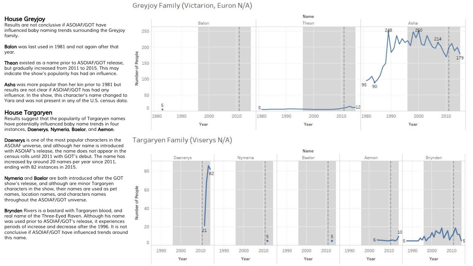#### Greyjoy Family (Victarion, Euron N/A)

#### House Greyjoy

Results are not conclusive if ASOIAF/GOT have influenced baby naming trends surrounding the Greyjoy family.

Balon was last used in 1981 and not again after that year.

**Theon** existed as a name prior to ASOIAF/GOT release. but gradually increased from 2011 to 2015. This may indicate the show's popularity has had an influence.

Asha was more popular than her kin prior to 1981 but results are not clear if ASOIAF/GOT has had any influence. In the show, this character's name changed to Yara and was not present in any of the U.S. census data.

#### House Targaryen

Results suggest that the popularity of Targaryen names have potentially influenced baby name trends in four instances, Daenerys, Nymeria, Baelor, and Aemon.

Daenerys is one of the most popular characters in the ASOIAF universe, and although her name is introduced with ASOIAF's release, the name does not appear in the census rolls until 2011 with GOT's debut. The name has increased by around 20 names per year since 2011, ending with 82 instances in 2015.

Nymeria and Baelor are both introduced after the GOT show's release, and although are minor Targaryen characters in the show, their names are used as pet names, location names, and characters names throughout the ASOIAF/GOT universe.

Brynden Rivers is a bastard with Targaryen blood, and real name of the Three-Eyed Raven. Although his name was used prior to ASOIAF/GOT's release, it experiences periods of increase and decrease after the 1996. It is not conclusive if ASOIAF/GOT have influenced trends around this name.



Targaryen Family (Viserys N/A)

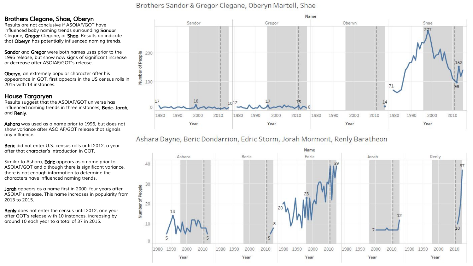#### Brothers Sandor & Gregor Clegane, Oberyn Martell, Shae

#### Brothers Clegane, Shae, Oberyn

Results are not conclusive if ASOIAF/GOT have influenced baby naming trends surrounding Sandor Clegane, Gregor Clegane, or Shae. Results do indicate that Oberyn has potentially influenced naming trends.

Sandor and Gregor were both names uses prior to the 1996 release, but show now signs of significant increase or decrease after ASOIAF/GOT's release.

Oberyn, an extremely popular character after his appearance in GOT, first appears in the US census rolls in 2015 with 14 instances.

#### House Targaryen

Results suggest that the ASOIAF/GOT universe has influenced naming trends in three instances, Beric, Jorah, and Renly.

Ashara was used as a name prior to 1996, but does not show variance after ASOIAF/GOT release that signals any influence.

Beric did not enter U.S. census rolls until 2012, a year after that character's introduction in GOT.

Similar to Ashara, **Edric** appears as a name prior to ASOIAF/GOT and although there is significant variance, there is not enough information to determine the characters have influenced naming trends.

Jorah appears as a name first in 2000, four years after ASOIAF's release. This name increases in popularity from 2013 to 2015.

Renly does not enter the census until 2012, one year after GOT's release with 10 instances, increasing by around 10 each year to a total of 37 in 2015.



## Ashara Dayne, Beric Dondarrion, Edric Storm, Jorah Mormont, Renly Baratheon